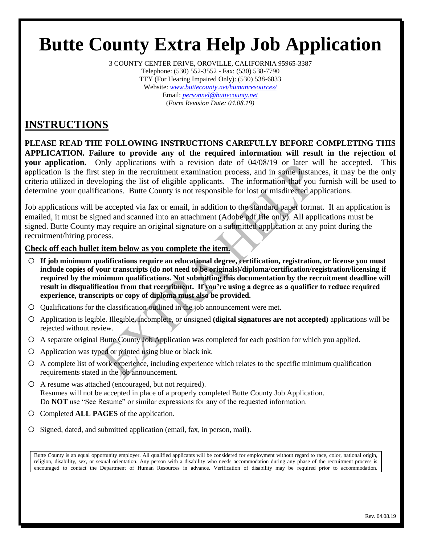# **Butte County Extra Help Job Application**

3 COUNTY CENTER DRIVE, OROVILLE, CALIFORNIA 95965-3387 Telephone: (530) 552-3552 - Fax: (530) 538-7790 TTY (For Hearing Impaired Only): (530) 538-6833 Website: *[www.buttecounty.net/humanresources/](http://www.buttecounty.net/humanresources/)* Email: *[personnel@buttecounty.net](mailto:personnel@buttecounty.net)* (*Form Revision Date: 04.08.19)*

### **INSTRUCTIONS**

**PLEASE READ THE FOLLOWING INSTRUCTIONS CAREFULLY BEFORE COMPLETING THIS APPLICATION. Failure to provide any of the required information will result in the rejection of your application.** Only applications with a revision date of 04/08/19 or later will be accepted. This application is the first step in the recruitment examination process, and in some instances, it may be the only criteria utilized in developing the list of eligible applicants. The information that you furnish will be used to determine your qualifications. Butte County is not responsible for lost or misdirected applications.

Job applications will be accepted via fax or email, in addition to the standard paper format. If an application is emailed, it must be signed and scanned into an attachment (Adobe pdf file only). All applications must be signed. Butte County may require an original signature on a submitted application at any point during the recruitment/hiring process.

#### **Check off each bullet item below as you complete the item.**

- o **If job minimum qualifications require an educational degree, certification, registration, or license you must include copies of your transcripts (do not need to be originals)/diploma/certification/registration/licensing if required by the minimum qualifications. Not submitting this documentation by the recruitment deadline will result in disqualification from that recruitment. If you're using a degree as a qualifier to reduce required experience, transcripts or copy of diploma must also be provided.**
- o Qualifications for the classification outlined in the job announcement were met.
- o Application is legible. Illegible, incomplete, or unsigned **(digital signatures are not accepted)** applications will be rejected without review.
- o A separate original Butte County Job Application was completed for each position for which you applied.
- $O$  Application was typed or printed using blue or black ink.
- o <sup>A</sup> complete list of work experience, including experience which relates to the specific minimum qualification requirements stated in the job announcement.
- o A resume was attached (encouraged, but not required). Resumes will not be accepted in place of a properly completed Butte County Job Application. Do **NOT** use "See Resume" or similar expressions for any of the requested information.
- o Completed **ALL PAGES** of the application.
- o Signed, dated, and submitted application (email, fax, in person, mail).

Butte County is an equal opportunity employer. All qualified applicants will be considered for employment without regard to race, color, national origin, religion, disability, sex, or sexual orientation. Any person with a disability who needs accommodation during any phase of the recruitment process is encouraged to contact the Department of Human Resources in advance. Verification of disability may be required prior to accommodation.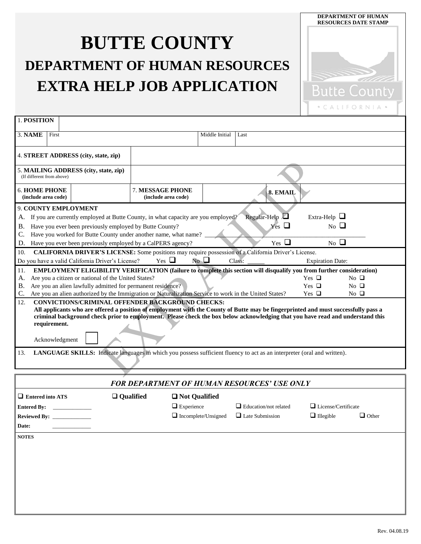## **BUTTE COUNTY DEPARTMENT OF HUMAN RESOURCES EXTRA HELP JOB APPLICATION**



| 1. POSITION                                                                   |                                                                                                                                                                                                                                                                                                                                                                                                                                                                                                                                                                                                                                                                                                                                                                                                                                                                                                                                      |                                                  |                                                                                                                    |                                               |                                                        |                                         |              |  |
|-------------------------------------------------------------------------------|--------------------------------------------------------------------------------------------------------------------------------------------------------------------------------------------------------------------------------------------------------------------------------------------------------------------------------------------------------------------------------------------------------------------------------------------------------------------------------------------------------------------------------------------------------------------------------------------------------------------------------------------------------------------------------------------------------------------------------------------------------------------------------------------------------------------------------------------------------------------------------------------------------------------------------------|--------------------------------------------------|--------------------------------------------------------------------------------------------------------------------|-----------------------------------------------|--------------------------------------------------------|-----------------------------------------|--------------|--|
| 3. NAME                                                                       | First                                                                                                                                                                                                                                                                                                                                                                                                                                                                                                                                                                                                                                                                                                                                                                                                                                                                                                                                |                                                  |                                                                                                                    | Middle Initial                                | Last                                                   |                                         |              |  |
|                                                                               |                                                                                                                                                                                                                                                                                                                                                                                                                                                                                                                                                                                                                                                                                                                                                                                                                                                                                                                                      |                                                  |                                                                                                                    |                                               |                                                        |                                         |              |  |
| 4. STREET ADDRESS (city, state, zip)                                          |                                                                                                                                                                                                                                                                                                                                                                                                                                                                                                                                                                                                                                                                                                                                                                                                                                                                                                                                      |                                                  |                                                                                                                    |                                               |                                                        |                                         |              |  |
| (If different from above)                                                     |                                                                                                                                                                                                                                                                                                                                                                                                                                                                                                                                                                                                                                                                                                                                                                                                                                                                                                                                      | 5. MAILING ADDRESS (city, state, zip)            |                                                                                                                    |                                               |                                                        |                                         |              |  |
| <b>6. HOME PHONE</b><br>(include area code)                                   |                                                                                                                                                                                                                                                                                                                                                                                                                                                                                                                                                                                                                                                                                                                                                                                                                                                                                                                                      |                                                  | 7. MESSAGE PHONE<br>(include area code)                                                                            | 8. EMAIL                                      |                                                        |                                         |              |  |
| А.<br>В.<br>C.<br>D.                                                          | 9. COUNTY EMPLOYMENT<br>Regular-Help $\Box$<br>Extra-Help $\Box$<br>If you are currently employed at Butte County, in what capacity are you employed?<br>$Yes \Box$<br>No $\Box$<br>Have you ever been previously employed by Butte County?<br>Have you worked for Butte County under another name, what name?<br>Yes $\Box$<br>$_{\rm No}$ $\square$<br>Have you ever been previously employed by a CalPERS agency?                                                                                                                                                                                                                                                                                                                                                                                                                                                                                                                 |                                                  |                                                                                                                    |                                               |                                                        |                                         |              |  |
| 10.                                                                           |                                                                                                                                                                                                                                                                                                                                                                                                                                                                                                                                                                                                                                                                                                                                                                                                                                                                                                                                      | Do you have a valid California Driver's License? | CALIFORNIA DRIVER'S LICENSE: Some positions may require possession of a California Driver's License.<br>$Yes \Box$ | No $\Box$                                     | Class:                                                 | <b>Expiration Date:</b>                 |              |  |
| 11.<br>A.<br>В.<br>C.<br>12.<br>13.                                           | EMPLOYMENT ELIGIBILITY VERIFICATION (failure to complete this section will disqualify you from further consideration)<br>Are you a citizen or national of the United States?<br>Yes $\Box$<br>No $\Box$<br>Are you an alien lawfully admitted for permanent residence?<br>Yes $\Box$<br>$No$ $\Box$<br>Are you an alien authorized by the Immigration or Naturalization Service to work in the United States?<br>Yes $\Box$<br>$No$ $\Box$<br>CONVICTIONS/CRIMINAL OFFENDER BACKGROUND CHECKS:<br>All applicants who are offered a position of employment with the County of Butte may be fingerprinted and must successfully pass a<br>criminal background check prior to employment. Please check the box below acknowledging that you have read and understand this<br>requirement.<br>Acknowledgment<br>LANGUAGE SKILLS: Indicate languages in which you possess sufficient fluency to act as an interpreter (oral and written). |                                                  |                                                                                                                    |                                               |                                                        |                                         |              |  |
|                                                                               |                                                                                                                                                                                                                                                                                                                                                                                                                                                                                                                                                                                                                                                                                                                                                                                                                                                                                                                                      |                                                  | <b>FOR DEPARTMENT OF HUMAN RESOURCES' USE ONLY</b>                                                                 |                                               |                                                        |                                         |              |  |
| $\Box$ Entered into ATS<br><b>Entered By:</b><br><b>Reviewed By:</b><br>Date: |                                                                                                                                                                                                                                                                                                                                                                                                                                                                                                                                                                                                                                                                                                                                                                                                                                                                                                                                      | $\Box$ Qualified                                 | $\Box$ Experience                                                                                                  | □ Not Qualified<br>$\Box$ Incomplete/Unsigned | $\Box$ Education/not related<br>$\Box$ Late Submission | License/Certificate<br>$\Box$ Illegible | $\Box$ Other |  |
| <b>NOTES</b>                                                                  |                                                                                                                                                                                                                                                                                                                                                                                                                                                                                                                                                                                                                                                                                                                                                                                                                                                                                                                                      |                                                  |                                                                                                                    |                                               |                                                        |                                         |              |  |
|                                                                               |                                                                                                                                                                                                                                                                                                                                                                                                                                                                                                                                                                                                                                                                                                                                                                                                                                                                                                                                      |                                                  |                                                                                                                    |                                               |                                                        |                                         |              |  |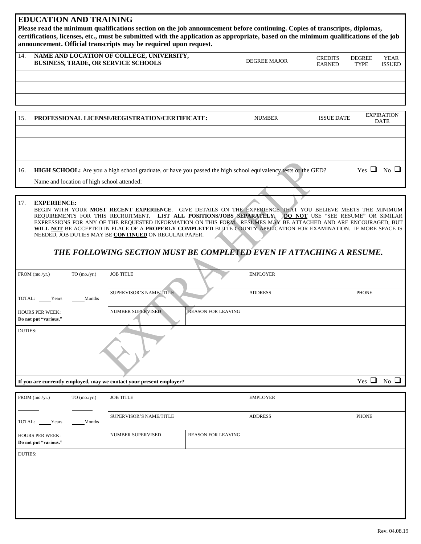#### **EDUCATION AND TRAINING**

**Please read the minimum qualifications section on the job announcement before continuing. Copies of transcripts, diplomas, certifications, licenses, etc., must be submitted with the application as appropriate, based on the minimum qualifications of the job announcement. Official transcripts may be required upon request.**

| 14. | NAME AND LOCATION OF COLLEGE, UNIVERSITY,<br><b>BUSINESS, TRADE, OR SERVICE SCHOOLS</b> | DEGREE MAJOR | <b>CREDITS</b><br><b>EARNED</b> | <b>DEGREE</b><br><b>TYPE</b> | <b>YEAR</b><br><b>ISSUED</b> |
|-----|-----------------------------------------------------------------------------------------|--------------|---------------------------------|------------------------------|------------------------------|
|     |                                                                                         |              |                                 |                              |                              |
|     |                                                                                         |              |                                 |                              |                              |

| 15. | PROFESSIONAL LICENSE/REGISTRATION/CERTIFICATE:                                                                                                              | <b>NUMBER</b> | <b>ISSUE DATE</b> |                    | <b>EXPIRATION</b><br><b>DATE</b> |
|-----|-------------------------------------------------------------------------------------------------------------------------------------------------------------|---------------|-------------------|--------------------|----------------------------------|
|     |                                                                                                                                                             |               |                   |                    |                                  |
|     |                                                                                                                                                             |               |                   |                    |                                  |
|     |                                                                                                                                                             |               |                   |                    |                                  |
| 16. | HIGH SCHOOL: Are you a high school graduate, or have you passed the high school equivalency tests or the GED?<br>Name and location of high school attended: |               |                   | $Yes \Box No \Box$ |                                  |

#### 17. **EXPERIENCE:**

BEGIN WITH YOUR **MOST RECENT EXPERIENCE**. GIVE DETAILS ON THE EXPERIENCE THAT YOU BELIEVE MEETS THE MINIMUM REQUIREMENTS FOR THIS RECRUITMENT. **LIST ALL POSITIONS/JOBS SEPARATELY. DO NOT** USE "SEE RESUME" OR SIMILAR EXPRESSIONS FOR ANY OF THE REQUESTED INFORMATION ON THIS FORM. RESUMES MAY BE ATTACHED AND ARE ENCOURAGED, BUT **WILL NOT** BE ACCEPTED IN PLACE OF A **PROPERLY COMPLETED** BUTTE COUNTY APPLICATION FOR EXAMINATION. IF MORE SPACE IS NEEDED, JOB DUTIES MAY BE **CONTINUED** ON REGULAR PAPER.

### *THE FOLLOWING SECTION MUST BE COMPLETED EVEN IF ATTACHING A RESUME.*

| FROM (mo./yr.)                                  | $TO$ (mo./yr.) | <b>JOB TITLE</b>                                                     |                           | <b>EMPLOYER</b> |                                       |  |
|-------------------------------------------------|----------------|----------------------------------------------------------------------|---------------------------|-----------------|---------------------------------------|--|
| TOTAL: Years                                    | Months         | SUPERVISOR'S NAME/TITLE                                              |                           | <b>ADDRESS</b>  | PHONE                                 |  |
| <b>HOURS PER WEEK:</b><br>Do not put "various." |                | NUMBER SUPERVISED                                                    | <b>REASON FOR LEAVING</b> |                 |                                       |  |
| <b>DUTIES:</b>                                  |                |                                                                      |                           |                 |                                       |  |
|                                                 |                | If you are currently employed, may we contact your present employer? |                           |                 | Yes $\Box$<br>$\overline{N_0}$ $\Box$ |  |

FROM (mo./yr.) TO (mo./yr.) TOTAL: Years Months HOURS PER WEEK: **Do not put "various."** JOB TITLE EMPLOYER SUPERVISOR'S NAME/TITLE ADDRESS AND ADDRESS PHONE NUMBER SUPERVISED REASON FOR LEAVING DUTIES: